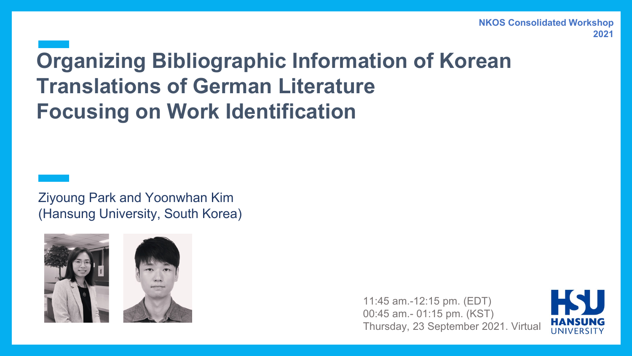### **Organizing Bibliographic Information of Korean Translations of German Literature Focusing on Work Identification**

Ziyoung Park and Yoonwhan Kim (Hansung University, South Korea)





11:45 am.-12:15 pm. (EDT) 00:45 am.- 01:15 pm. (KST) Thursday, 23 September 2021. Virtual

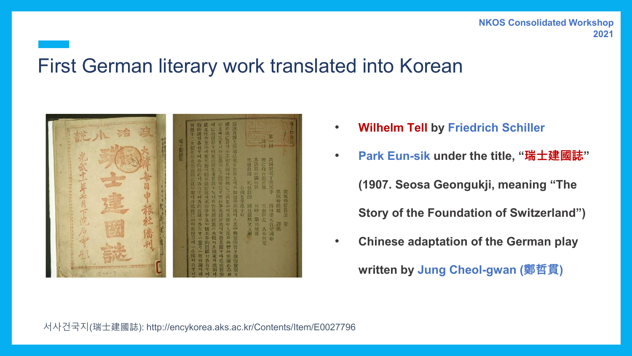#### 서사건국지(瑞士建國誌): http://encykorea.aks.ac.kr/Contents/Item/E0027796

#### **NKOS Consolidated Workshop 2021**

#### First German literary work translated into Korean



- **Wilhelm Tell by Friedrich Schiller**
- **Park Eun-sik under the title, "瑞士建國誌" (1907. Seosa Geongukji, meaning "The Story of the Foundation of Switzerland")**
- **Chinese adaptation of the German play written by Jung Cheol-gwan (鄭哲貫)**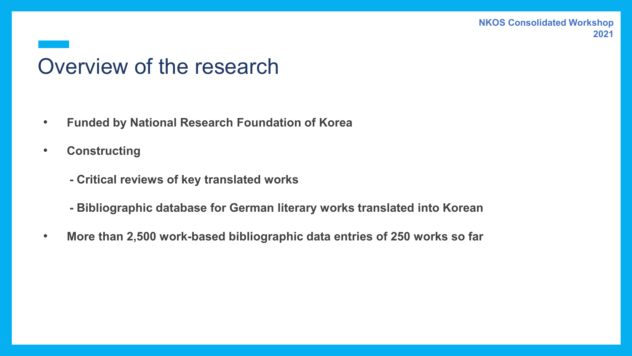### Overview of the research

- **Funded by National Research Foundation of Korea**
- **Constructing** 
	- **- Critical reviews of key translated works**
	- **- Bibliographic database for German literary works translated into Korean**
- **More than 2,500 work-based bibliographic data entries of 250 works so far**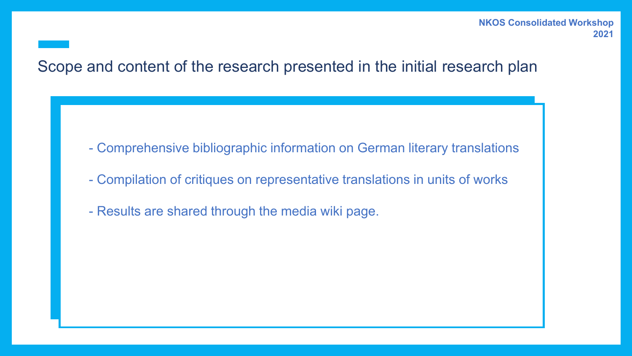#### Scope and content of the research presented in the initial research plan

- Comprehensive bibliographic information on German literary translations
- Compilation of critiques on representative translations in units of works
- Results are shared through the media wiki page.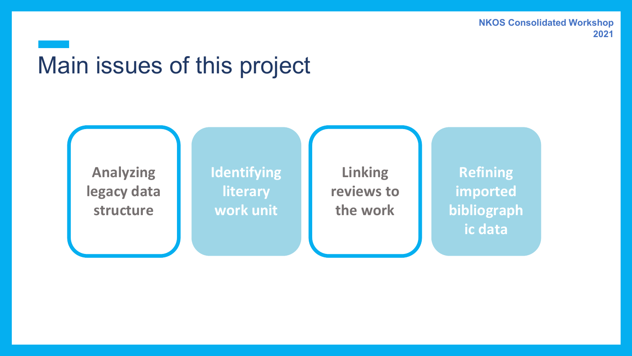# Main issues of this project

**Analyzing legacy data structure**

**Identifying literary work unit**

**Linking reviews to the work**

**Refining imported bibliograph ic data**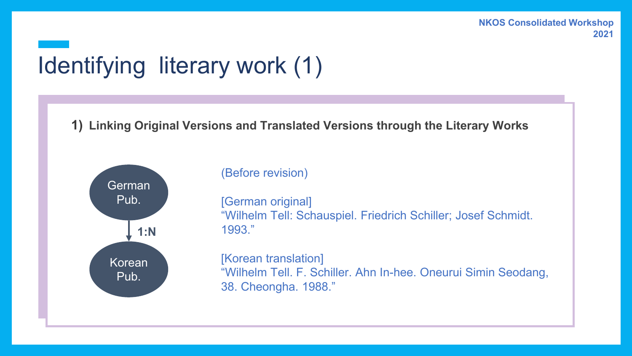# Identifying literary work (1)

**1) Linking Original Versions and Translated Versions through the Literary Works**



(Before revision)

[German original] "Wilhelm Tell: Schauspiel. Friedrich Schiller; Josef Schmidt. 1993."

[Korean translation] "Wilhelm Tell. F. Schiller. Ahn In-hee. Oneurui Simin Seodang, 38. Cheongha. 1988."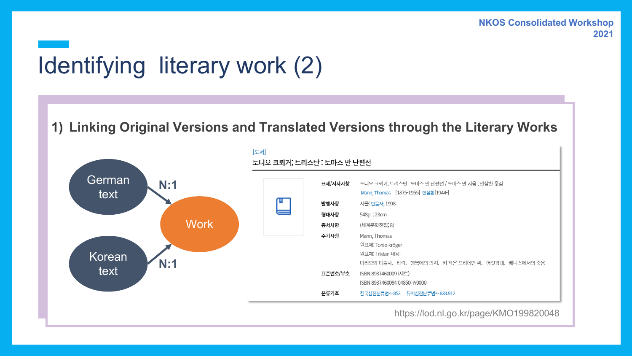# Identifying literary work (2)

#### **1) Linking Original Versions and Translated Versions through the Literary Works**



https://lod.nl.go.kr/page/KMO199820048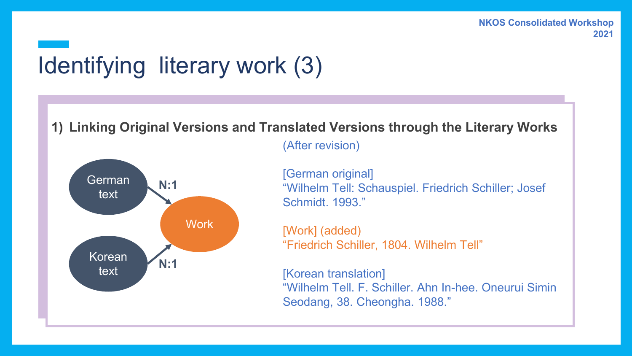# Identifying literary work (3)

**1) Linking Original Versions and Translated Versions through the Literary Works**



(After revision)

[German original] "Wilhelm Tell: Schauspiel. Friedrich Schiller; Josef Schmidt. 1993."

[Work] (added) "Friedrich Schiller, 1804. Wilhelm Tell"

[Korean translation] "Wilhelm Tell. F. Schiller. Ahn In-hee. Oneurui Simin Seodang, 38. Cheongha. 1988."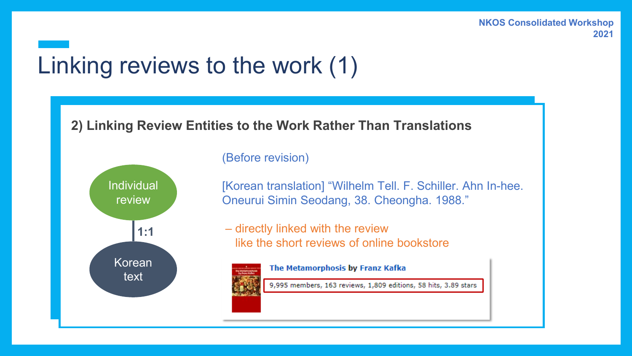### Linking reviews to the work (1)

#### **2) Linking Review Entities to the Work Rather Than Translations**



(Before revision)

[Korean translation] "Wilhelm Tell. F. Schiller. Ahn In-hee. Oneurui Simin Seodang, 38. Cheongha. 1988."

– directly linked with the review like the short reviews of online bookstore

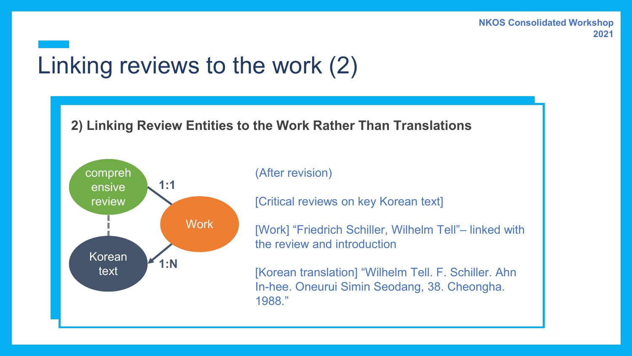### Linking reviews to the work (2)

#### **2) Linking Review Entities to the Work Rather Than Translations**



#### (After revision)

[Critical reviews on key Korean text]

[Work] "Friedrich Schiller, Wilhelm Tell"– linked with the review and introduction

[Korean translation] "Wilhelm Tell. F. Schiller. Ahn In-hee. Oneurui Simin Seodang, 38. Cheongha. 1988."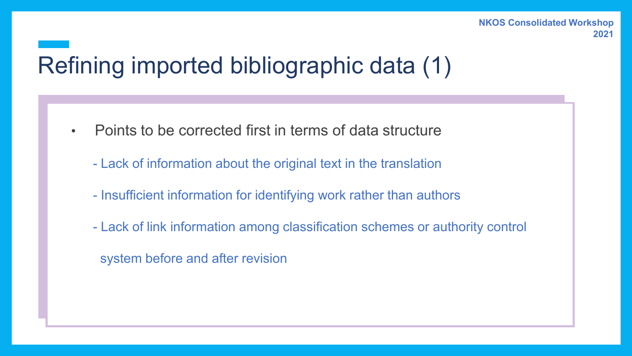# Refining imported bibliographic data (1)

- Points to be corrected first in terms of data structure
	- Lack of information about the original text in the translation
	- Insufficient information for identifying work rather than authors
	- Lack of link information among classification schemes or authority control
		- system before and after revision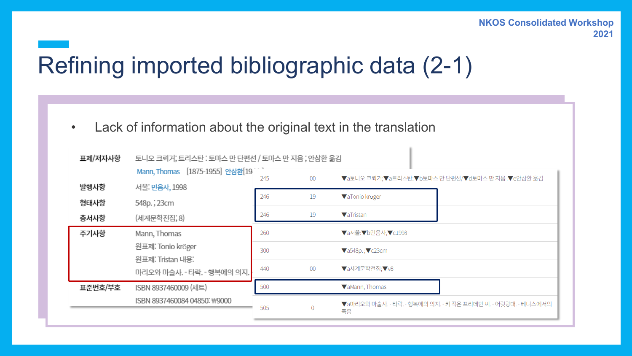# Refining imported bibliographic data (2-1)

• Lack of information about the original text in the translation

| 토니오 크뢰거, 트리스탄 : 토마스 만 단편선 / 토마스 만 지음 ; 안삼환 옮김                                      |                                 |                                                                     |                                                                    |  |  |  |  |
|------------------------------------------------------------------------------------|---------------------------------|---------------------------------------------------------------------|--------------------------------------------------------------------|--|--|--|--|
|                                                                                    |                                 |                                                                     | <b>▼2토니오 크리가, 2트리스탄, 2토미스 만단편선/ 7d토마스 만 지음, 7e안삼환 옮김</b>           |  |  |  |  |
| 서울 민음사, 1998                                                                       |                                 |                                                                     |                                                                    |  |  |  |  |
| 548p.; 23cm                                                                        |                                 |                                                                     | ▼aTonio kröger                                                     |  |  |  |  |
| (세계문학전집, 8)                                                                        | 246                             | 19                                                                  | <b>VaTristan</b>                                                   |  |  |  |  |
| Mann, Thomas                                                                       | 260<br><b>▼a서울:▼b민음사,▼c1998</b> |                                                                     |                                                                    |  |  |  |  |
| 원표제: Tonio kröger<br>원표제: Tristan 내용:<br>마리오와 마술사. - 타락. - 행복에의 의지. <mark>·</mark> |                                 |                                                                     | $\blacktriangledown$ a548p.; $\blacktriangledown$ c23cm            |  |  |  |  |
|                                                                                    |                                 | 00                                                                  | ▼a세계문학전집: V8                                                       |  |  |  |  |
| ISBN 8937460009 (세트)                                                               | 500                             |                                                                     | VaMann, Thomas                                                     |  |  |  |  |
| ISBN 8937460084 04850: #9000                                                       |                                 | $\Omega$                                                            | ▼a마리오와 마술사. - 타락. - 행복에의 의지. - 키 작은 프리데만 씨. - 어릿광대. - 베니스에서의<br>죽음 |  |  |  |  |
|                                                                                    |                                 | Mann, Thomas [1875-1955] 안삼환[19]<br>245<br>246<br>300<br>440<br>505 | $00\,$<br>19                                                       |  |  |  |  |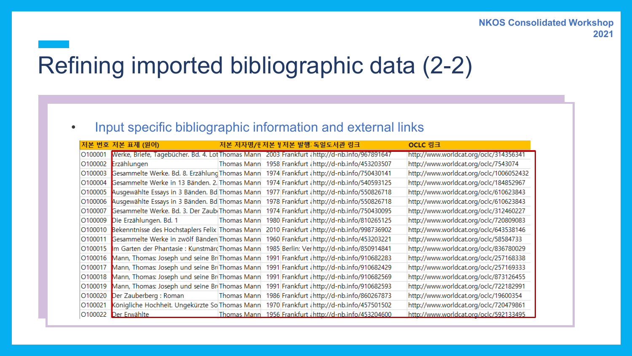### Refining imported bibliographic data (2-2)

#### • Input specific bibliographic information and external links

|         | 저본 번호 저본 표제 (원어)                                  |                    | 저본 저자명/판저본 빌저본 발행 독일도서관 링크                             | OCLC 링크                                 |
|---------|---------------------------------------------------|--------------------|--------------------------------------------------------|-----------------------------------------|
| 0100001 | Werke, Briefe, Tagebücher. Bd. 4. Lot Thomas Mann |                    | 2003 Frankfurt (http://d-nb.info/967891647             | http://www.worldcat.org/oclc/314356341  |
| O100002 | Erzählungen                                       | <b>Thomas Mann</b> | 1958 Frankfurt (http://d-nb.info/453203507             | http://www.worldcat.org/oclc/7543074    |
| O100003 | Gesammelte Werke. Bd. 8. Erzählung Thomas Mann    |                    | 1974 Frankfurt (http://d-nb.info/750430141             | http://www.worldcat.org/oclc/1006052432 |
| O100004 | Gesammelte Werke in 13 Bänden. 2. Thomas Mann     |                    | 1974 Frankfurt (http://d-nb.info/540593125             | http://www.worldcat.org/oclc/184852967  |
| O100005 | Ausgewählte Essays in 3 Bänden. Bd Thomas Mann    |                    | 1977 Frankfurt (http://d-nb.info/550826718             | http://www.worldcat.org/oclc/610623843  |
| O100006 | Ausgewählte Essays in 3 Bänden. Bd Thomas Mann    |                    | 1978 Frankfurt (http://d-nb.info/550826718             | http://www.worldcat.org/oclc/610623843  |
| O100007 | Gesammelte Werke. Bd. 3. Der Zaub Thomas Mann     |                    | 1974 Frankfurt (http://d-nb.info/750430095             | http://www.worldcat.org/oclc/312460227  |
| O100009 | Die Erzählungen. Bd. 1                            | Thomas Mann        | 1980 Frankfurt (http://d-nb.info/810265125             | http://www.worldcat.org/oclc/720809083  |
| O100010 | Bekenntnisse des Hochstaplers Felix Thomas Mann   |                    | 2010 Frankfurt (http://d-nb.info/998736902             | http://www.worldcat.org/oclc/643538146  |
| O100011 | Gesammelte Werke in zwölf Bänden Thomas Mann      |                    | 1960 Frankfurt (http://d-nb.info/453203221             | http://www.worldcat.org/oclc/58584733   |
| O100015 | Im Garten der Phantasie : Kunstmärd Thomas Mann   |                    | 1985 Berlin: Ver http://d-nb.info/850914841            | http://www.worldcat.org/oclc/836780029  |
| O100016 | Mann, Thomas: Joseph und seine Br Thomas Mann     |                    | 1991 Frankfurt (http://d-nb.info/910682283             | http://www.worldcat.org/oclc/257168338  |
| O100017 | Mann, Thomas: Joseph und seine BriThomas Mann     |                    | 1991 Frankfurt (http://d-nb.info/910682429             | http://www.worldcat.org/oclc/257169333  |
| O100018 | Mann, Thomas: Joseph und seine BriThomas Mann     |                    | 1991 Frankfurt (http://d-nb.info/910682569             | http://www.worldcat.org/oclc/873126455  |
| O100019 | Mann, Thomas: Joseph und seine BriThomas Mann     |                    | 1991 Frankfurt (http://d-nb.info/910682593             | http://www.worldcat.org/oclc/722182991  |
| O100020 | Der Zauberberg : Roman                            | Thomas Mann        | 1986 Frankfurt (http://d-nb.info/860267873             | http://www.worldcat.org/oclc/19600354   |
| O100021 | Königliche Hochheit. Ungekürzte So Thomas Mann    |                    | 1970 Frankfurt {http://d-nb.info/457501502             | http://www.worldcat.org/oclc/720479861  |
| O100022 | Der Erwählte                                      |                    | Thomas Mann 1956 Frankfurt (http://d-nb.info/453204600 | http://www.worldcat.org/oclc/592133495  |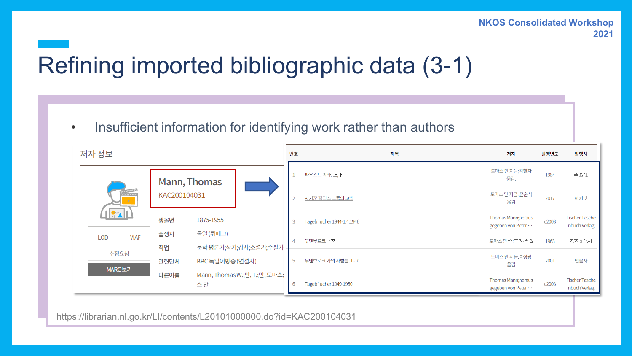# Refining imported bibliographic data (3-1)

• Insufficient information for identifying work rather than authors

| 저자 정보          |                 |                                                       |           |   | 번호                |                            | 제목                  | 저자                                       | 발행년도  | 발행처                                   |
|----------------|-----------------|-------------------------------------------------------|-----------|---|-------------------|----------------------------|---------------------|------------------------------------------|-------|---------------------------------------|
|                |                 | Mann, Thomas                                          |           |   |                   | 파우스트 박사. 上,下               |                     | 토마스 만 지음;김철자<br>옮김.                      | 1984  | 學園社                                   |
| <b>William</b> |                 | KAC200104031                                          |           |   | 사기꾼 펠릭스 크룰의 고백    |                            | 토마스 만 지음 ;윤순식<br>옮김 | 2017                                     | 아카넷   |                                       |
|                | <u> 461  </u>   | 생몰년                                                   | 1875-1955 |   |                   | Tageb" ucher 1944-1.4.1946 |                     | Thomas Mann; heraus<br>gegeben von Peter | c2003 | <b>Fischer Tasche</b><br>nbuch Verlag |
| <b>LOD</b>     | <b>VIAF</b>     | 출생지                                                   | 독일 (뤼베크)  |   | $\overline{4}$    | 붓덴부르크一家                    |                     | 토마스만作;李孝祥譯                               | 1963  | 乙酉文化社                                 |
|                | 수정요청<br>MARC 보기 | 문학 평론가;작가;강사;소설가;수필가<br>직업<br>BBC 독일어방송 (연설자)<br>관련단체 |           | 5 | 부덴브로크 가의 사람들. 1-2 |                            | 토마스 만 지음;홍성광<br>옮김  | 2001                                     | 민음사   |                                       |
|                |                 | Mann, Thomas W.;만, T.;만, 도마스;<br>다른이름<br>스만           |           |   | -6                | Tageb" ucher 1949-1950     |                     | Thomas Mann; heraus<br>gegeben von Peter | c2003 | <b>Fischer Tasche</b><br>nbuch Verlag |

https://librarian.nl.go.kr/LI/contents/L20101000000.do?id=KAC200104031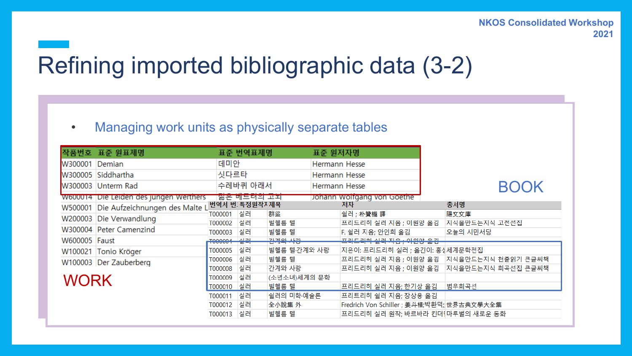### Refining imported bibliographic data (3-2)

#### • Managing work units as physically separate tables

| 작품번호 표준 원표제명         | 표준 번역표제명                                                                                                                      |                                                      |                        |                                                                             |                                            |                                                                            |                                                                                                                                                                                                                          |
|----------------------|-------------------------------------------------------------------------------------------------------------------------------|------------------------------------------------------|------------------------|-----------------------------------------------------------------------------|--------------------------------------------|----------------------------------------------------------------------------|--------------------------------------------------------------------------------------------------------------------------------------------------------------------------------------------------------------------------|
| Demian               | 데미안                                                                                                                           |                                                      |                        | Hermann Hesse                                                               |                                            |                                                                            |                                                                                                                                                                                                                          |
| W300005 Siddhartha   |                                                                                                                               |                                                      |                        |                                                                             |                                            |                                                                            |                                                                                                                                                                                                                          |
| W300003 Unterm Rad   |                                                                                                                               |                                                      |                        | Hermann Hesse                                                               |                                            |                                                                            | <b>BOOK</b>                                                                                                                                                                                                              |
|                      |                                                                                                                               |                                                      |                        |                                                                             |                                            |                                                                            |                                                                                                                                                                                                                          |
|                      |                                                                                                                               |                                                      |                        |                                                                             | 저자                                         |                                                                            | 총서명                                                                                                                                                                                                                      |
|                      | T000001                                                                                                                       |                                                      | 群盜                     |                                                                             | 쉴러 ; 朴贊機 譯                                 |                                                                            | 陽文文庫                                                                                                                                                                                                                     |
|                      |                                                                                                                               |                                                      |                        |                                                                             |                                            |                                                                            | 지식을만드는지식 고전선집                                                                                                                                                                                                            |
|                      | T000003                                                                                                                       |                                                      |                        |                                                                             |                                            |                                                                            | 오늘의 시민서당                                                                                                                                                                                                                 |
| W600005 Faust        | <b>T000004</b>                                                                                                                | 실락                                                   | 가게야 나라                 |                                                                             |                                            |                                                                            |                                                                                                                                                                                                                          |
| W100021 Tonio Kröger | T000005                                                                                                                       | 실러                                                   |                        |                                                                             |                                            |                                                                            |                                                                                                                                                                                                                          |
|                      | T000006                                                                                                                       | 실러                                                   | 빌헬름 텔                  |                                                                             |                                            |                                                                            | 프리드리히 실러 지음 ; 이원양 옮김  지식을만드는지식 천줄읽기 큰글씨책                                                                                                                                                                                 |
|                      | T000008                                                                                                                       | 실러                                                   |                        |                                                                             |                                            |                                                                            | 프리드리히 실러 지음 ; 이원양 옮김  지식을만드는지식 희곡선집 큰글씨책                                                                                                                                                                                 |
|                      | T000009                                                                                                                       | 실러                                                   |                        |                                                                             |                                            |                                                                            |                                                                                                                                                                                                                          |
|                      | T000010                                                                                                                       | 실러                                                   | 빌헬름 텔                  |                                                                             |                                            |                                                                            | 범우희곡선                                                                                                                                                                                                                    |
|                      | T000011                                                                                                                       | 실러                                                   |                        |                                                                             |                                            |                                                                            |                                                                                                                                                                                                                          |
|                      | T000012                                                                                                                       | 실러                                                   | 全小說集 外                 |                                                                             |                                            |                                                                            |                                                                                                                                                                                                                          |
|                      |                                                                                                                               | 실러                                                   | 빌헬름 텔                  |                                                                             |                                            |                                                                            |                                                                                                                                                                                                                          |
| W500001<br>W200003   | W600014 Die Leiden des jungen Wertners<br>Die Verwandlung<br>W300004 Peter Camenzind<br>W100003 Der Zauberberg<br><b>WORK</b> | Die Aufzeichnungen des Malte L<br>T000002<br>T000013 | 싯다르타<br>실러<br>실러<br>실러 | 수레바퀴 아래서<br><u>삶은 메드더라 고파</u><br>번역서 번 특정원작지제목<br>빌헬름 텔<br>빌헬름 텔<br>∣간계와 사랑 | 빌헬름 텔·간계와 사랑<br>(소년소녀)세계의 문학<br>쉴러의 미학·예술론 | 표준 원저자명<br>Hermann Hesse<br>Johann Wolfgang von Goethe<br>F. 쉴러 지음; 안인희 옮김 | 프리드리히 실러 지음 ; 이원양 옮김<br><del>프리드리히 실러 지음 : 이원양 옮김</del><br>지은이: 프리드리히 실러 ; 옮긴이: 홍싱세계문학전집<br>프리드리히 실러 지음; 한기상 옮김<br>프리트리히 쉴러 지음; 장상용 옮김<br>Fredrich Von Schiller ; 姜斗植;박환덕;;世界古典文學大全集<br>프리드리히 실러 원작; 바르바라 킨더{마루벌의 새로운 동화 |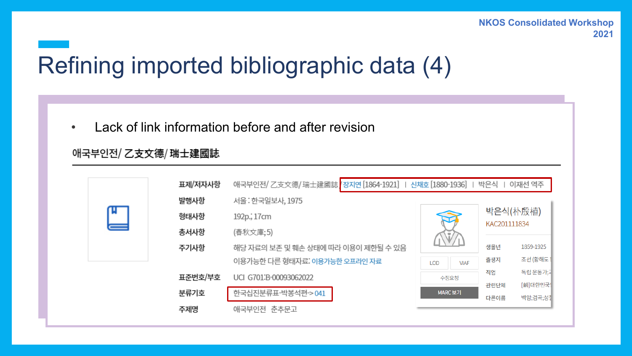# Refining imported bibliographic data (4)

• Lack of link information before and after revision

#### 애국부인전/乙支文德/瑞士建國誌

|   | 표제/저자사항 | 애국부인전/乙支文德/瑞士建國誌 장지연 [1864-1921]   신채호 [1880-1936]   박은식 |                    |              | 이재선 역주               |
|---|---------|----------------------------------------------------------|--------------------|--------------|----------------------|
|   | 발행사항    | 서울: 한국일보사, 1975                                          |                    |              |                      |
| ц | 형태사항    | 192p., 17cm                                              |                    | KAC201111834 | 박은식(朴殷植)             |
| ═ | 총서사항    | (春秋文庫;5)                                                 |                    |              |                      |
|   | 주기사항    | 해당 자료의 보존 및 훼손 상태에 따라 이용이 제한될 수 있음                       |                    | 생몰년          | 1859-1925            |
|   |         | 이용가능한 다른 형태자료. 이용가능한 오프라인 자료                             | <b>VIAF</b><br>LOD | 출생지          | 조선 (황해도              |
|   | 표준번호/부호 | UCI G701:B-00093062022                                   | 수정요청               | 직업           | 독립 운동가,과             |
|   | 분류기호    | 한국십진분류표-박봉석편-> 041                                       | MARC 보기            | 관련단체<br>다른이름 | [前]대한민국]<br>백암;겸곡;성칠 |
|   | 주제명     | 애국부인전 춘추문고                                               |                    |              |                      |
|   |         |                                                          |                    |              |                      |